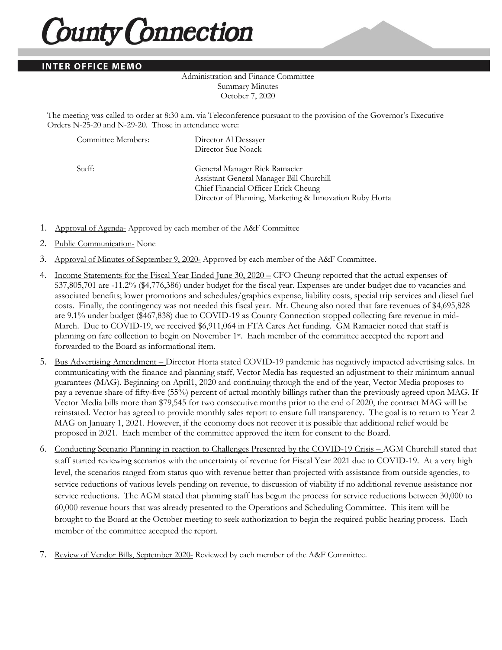## **County Connection**

## **INTER OFFICE MEMO**

## Administration and Finance Committee Summary Minutes October 7, 2020

The meeting was called to order at 8:30 a.m. via Teleconference pursuant to the provision of the Governor's Executive Orders N-25-20 and N-29-20. Those in attendance were:

| Committee Members: | Director Al Dessayer                                    |
|--------------------|---------------------------------------------------------|
|                    | Director Sue Noack                                      |
| Staff:             | General Manager Rick Ramacier                           |
|                    | Assistant General Manager Bill Churchill                |
|                    | Chief Financial Officer Erick Cheung                    |
|                    | Director of Planning, Marketing & Innovation Ruby Horta |

- 1. Approval of Agenda- Approved by each member of the A&F Committee
- 2. Public Communication- None
- 3. Approval of Minutes of September 9, 2020- Approved by each member of the A&F Committee.
- 4. Income Statements for the Fiscal Year Ended June 30, 2020 CFO Cheung reported that the actual expenses of \$37,805,701 are -11.2% (\$4,776,386) under budget for the fiscal year. Expenses are under budget due to vacancies and associated benefits; lower promotions and schedules/graphics expense, liability costs, special trip services and diesel fuel costs. Finally, the contingency was not needed this fiscal year. Mr. Cheung also noted that fare revenues of \$4,695,828 are 9.1% under budget (\$467,838) due to COVID-19 as County Connection stopped collecting fare revenue in mid-March. Due to COVID-19, we received \$6,911,064 in FTA Cares Act funding. GM Ramacier noted that staff is planning on fare collection to begin on November 1<sup>st</sup>. Each member of the committee accepted the report and forwarded to the Board as informational item.
- 5. Bus Advertising Amendment Director Horta stated COVID-19 pandemic has negatively impacted advertising sales. In communicating with the finance and planning staff, Vector Media has requested an adjustment to their minimum annual guarantees (MAG). Beginning on April1, 2020 and continuing through the end of the year, Vector Media proposes to pay a revenue share of fifty-five (55%) percent of actual monthly billings rather than the previously agreed upon MAG. If Vector Media bills more than \$79,545 for two consecutive months prior to the end of 2020, the contract MAG will be reinstated. Vector has agreed to provide monthly sales report to ensure full transparency. The goal is to return to Year 2 MAG on January 1, 2021. However, if the economy does not recover it is possible that additional relief would be proposed in 2021. Each member of the committee approved the item for consent to the Board.
- 6. Conducting Scenario Planning in reaction to Challenges Presented by the COVID-19 Crisis AGM Churchill stated that staff started reviewing scenarios with the uncertainty of revenue for Fiscal Year 2021 due to COVID-19. At a very high level, the scenarios ranged from status quo with revenue better than projected with assistance from outside agencies, to service reductions of various levels pending on revenue, to discussion of viability if no additional revenue assistance nor service reductions. The AGM stated that planning staff has begun the process for service reductions between 30,000 to 60,000 revenue hours that was already presented to the Operations and Scheduling Committee. This item will be brought to the Board at the October meeting to seek authorization to begin the required public hearing process. Each member of the committee accepted the report.
- 7. Review of Vendor Bills, September 2020- Reviewed by each member of the A&F Committee.